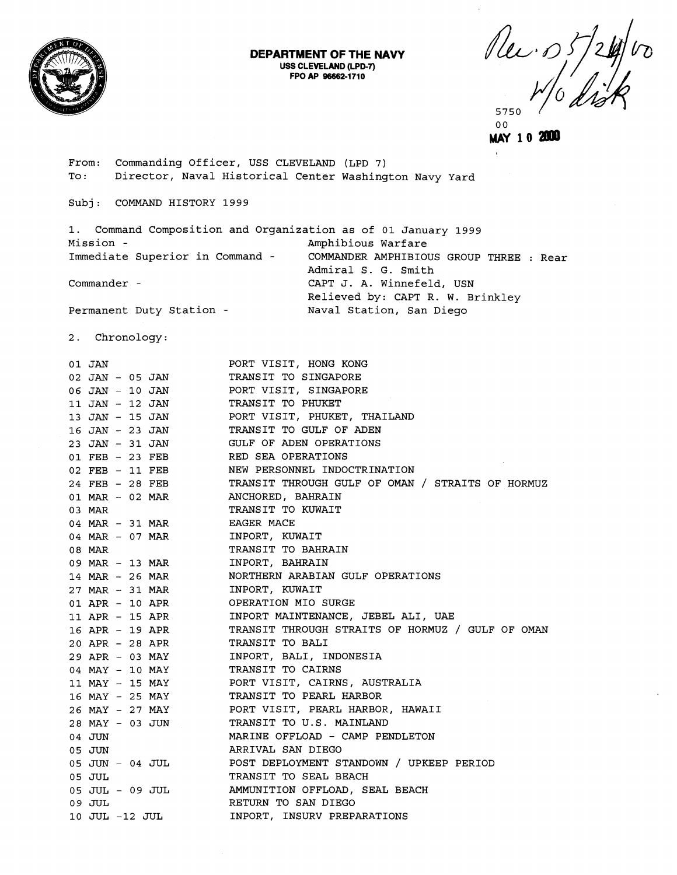

## **DEPARTMENT OF THE NAVY USS CLEVELAND (LPD-7) FPO AP 96662-1 71 0**

Plec. 05/24 575C

 $0<sub>0</sub>$ 

MAY 10 2000

From: commanding Officer, USS CLEVELAND (LPD 7) To: Director, Naval Historical Center Washington Navy Yard

Subj: COMMAND HISTORY **1999** 

**1.** Command Composition and Organization as of **01** January **1999**  Mission - **Amphibious Warfare** Immediate Superior in Command - COMMANDER AMPHIBIOUS GROUP THREE : Rear Admiral S. G. Smith Commander - CAPT J. A. Winnefeld, USN Relieved by: CAPT R. W. Brinkley Permanent Duty Station - Naval Station, San Diego

**2.** Chronology:

| 01 JAN                             | PORT VISIT, HONG KONG                                    |
|------------------------------------|----------------------------------------------------------|
| 02 JAN - 05 JAN                    | TRANSIT TO SINGAPORE                                     |
| 06 JAN - 10 JAN                    | PORT VISIT, SINGAPORE                                    |
| 11 JAN - 12 JAN                    | TRANSIT TO PHUKET                                        |
|                                    | 13 JAN - 15 JAN PORT VISIT, PHUKET, THAILAND             |
|                                    | 16 JAN - 23 JAN TRANSIT TO GULF OF ADEN                  |
|                                    | 23 JAN - 31 JAN GULF OF ADEN OPERATIONS                  |
| 01 FEB - 23 FEB RED SEA OPERATIONS |                                                          |
| 02 FEB - 11 FEB                    | NEW PERSONNEL INDOCTRINATION                             |
| 24 FEB - 28 FEB                    | TRANSIT THROUGH GULF OF OMAN / STRAITS OF HORMUZ         |
| 01 MAR - 02 MAR                    | ANCHORED, BAHRAIN                                        |
| 03 MAR                             | TRANSIT TO KUWAIT                                        |
| 04 MAR - 31 MAR                    | EAGER MACE                                               |
| 04 MAR - 07 MAR                    | INPORT, KUWAIT                                           |
| 08 MAR                             | TRANSIT TO BAHRAIN                                       |
| 09 MAR - 13 MAR                    | INPORT, BAHRAIN                                          |
| 14 MAR - 26 MAR                    | NORTHERN ARABIAN GULF OPERATIONS                         |
| 27 MAR - 31 MAR                    | INPORT, KUWAIT                                           |
| 01 APR - 10 APR                    | OPERATION MIO SURGE                                      |
| 11 APR - 15 APR                    | INPORT MAINTENANCE, JEBEL ALI, UAE                       |
| 16 APR - 19 APR                    | TRANSIT THROUGH STRAITS OF HORMUZ / GULF OF OMAN         |
| 20 APR - 28 APR TRANSIT TO BALI    |                                                          |
|                                    | 29 APR - 03 MAY INPORT, BALI, INDONESIA                  |
| 04 MAY - 10 MAY                    | TRANSIT TO CAIRNS                                        |
| 11 MAY - 15 MAY                    | PORT VISIT, CAIRNS, AUSTRALIA                            |
| 16 MAY - 25 MAY                    | TRANSIT TO PEARL HARBOR                                  |
| 26 MAY - 27 MAY                    | PORT VISIT, PEARL HARBOR, HAWAII                         |
| 28 MAY - 03 JUN                    | TRANSIT TO U.S. MAINLAND                                 |
| 04 JUN                             | MARINE OFFLOAD - CAMP PENDLETON                          |
| 05 JUN                             | ARRIVAL SAN DIEGO                                        |
|                                    | 05 JUN - 04 JUL POST DEPLOYMENT STANDOWN / UPKEEP PERIOD |
| 05 JUL                             | TRANSIT TO SEAL BEACH                                    |
| 05 JUL - 09 JUL                    | AMMUNITION OFFLOAD, SEAL BEACH                           |
| 09 JUL                             | RETURN TO SAN DIEGO                                      |
| 10 JUL -12 JUL                     | INPORT, INSURV PREPARATIONS                              |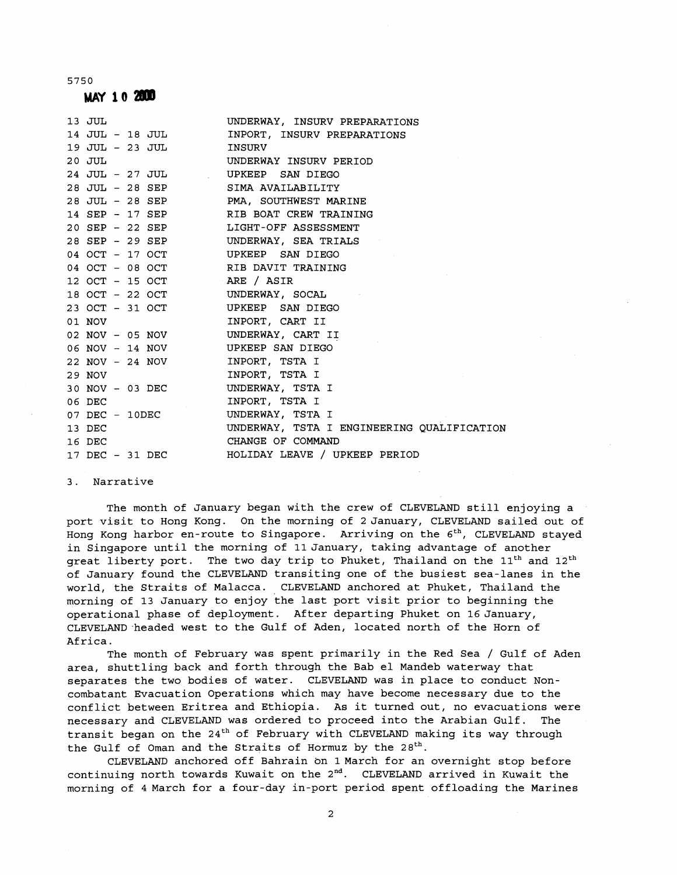5 7 5 0

**MAY 10 2000** 

| 13 JUL 19                                        | UNDERWAY, INSURV PREPARATIONS                 |
|--------------------------------------------------|-----------------------------------------------|
|                                                  | 14 JUL - 18 JUL MPORT, INSURV PREPARATIONS    |
| 19 JUL - 23 JUL INSURV                           |                                               |
| 20 JUL 1                                         | UNDERWAY INSURV PERIOD                        |
| 24 JUL - 27 JUL UPKEEP SAN DIEGO                 |                                               |
| 28 JUL - 28 SEP SIMA AVAILABILITY                |                                               |
|                                                  | 28 JUL - 28 SEP PMA, SOUTHWEST MARINE         |
|                                                  | 14 SEP - 17 SEP RIB BOAT CREW TRAINING        |
|                                                  | 20 SEP - 22 SEP LIGHT-OFF ASSESSMENT          |
|                                                  | 28 SEP - 29 SEP UNDERWAY, SEA TRIALS          |
|                                                  | 04 OCT - 17 OCT            UPKEEP  SAN DIEGO  |
|                                                  | 04 OCT - 08 OCT RIB DAVIT TRAINING            |
| $12 \text{ }$ OCT - $15 \text{ }$ OCT ARE / ASIR |                                               |
| 18 OCT - 22 OCT UNDERWAY, SOCAL                  |                                               |
| 23 OCT - 31 OCT UPKEEP SAN DIEGO                 |                                               |
| 01 NOV                                           | INPORT, CART II                               |
| 02 NOV - 05 NOV UNDERWAY, CART II                |                                               |
| 06 NOV - 14 NOV UPKEEP SAN DIEGO                 |                                               |
| 22 NOV - 24 NOV INPORT, TSTA I                   |                                               |
| 29 NOV                                           | INPORT, TSTA I                                |
| 30 NOV - 03 DEC UNDERWAY, TSTA I                 |                                               |
| 06 DEC                                           | INPORT, TSTA I                                |
| 07 DEC - 10DEC                                   | UNDERWAY, TSTA I                              |
| 13 DEC                                           | UNDERWAY, TSTA I ENGINEERING QUALIFICATION    |
| 16 DEC                                           | CHANGE OF COMMAND                             |
|                                                  | 17 DEC - 31 DEC HOLIDAY LEAVE / UPKEEP PERIOD |

3. Narrative

The month of January began with the crew of CLEVELAND still enjoying a port visit to Hong Kong. On the morning of 2 January, CLEVELAND sailed out of Hong Kong harbor en-route to Singapore. Arriving on the  $6^{th}$ , CLEVELAND stayed in Singapore until the morning of IlJanuary, taking advantage of another great liberty port. The two day trip to Phuket, Thailand on the  $11<sup>th</sup>$  and  $12<sup>th</sup>$ of January found the CLEVELAND transiting one of the busiest sea-lanes in the world, the Straits of Malacca. CLEVELAND anchored at Phuket, Thailand the morning of 13 January to enjoy the last port visit prior to beginning the operational phase of deployment. After departing Phuket on 16 January, CLEVELAND headed west to the Gulf of Aden, located north of the Horn of Africa.

The month of February was spent primarily in the Red Sea / Gulf of Aden area, shuttling back and forth through the Bab el Mandeb waterway that separates the two bodies of water. CLEVELAND was in place to conduct Noncombatant Evacuation Operations which may have become necessary due to the conflict between Eritrea and Ethiopia. As it turned out, no evacuations were necessary and CLEVELAND was ordered to proceed into the Arabian Gulf. The transit began on the  $24^{th}$  of February with CLEVELAND making its way through the Gulf of Oman and the Straits of Hormuz by the  $28<sup>th</sup>$ .

CLEVELAND anchored off Bahrain bn 1March for an overnight stop before continuing north towards Kuwait on the  $2<sup>nd</sup>$ . CLEVELAND arrived in Kuwait the morning of 4 March for a four-day in-port period spent offloading the Marines

2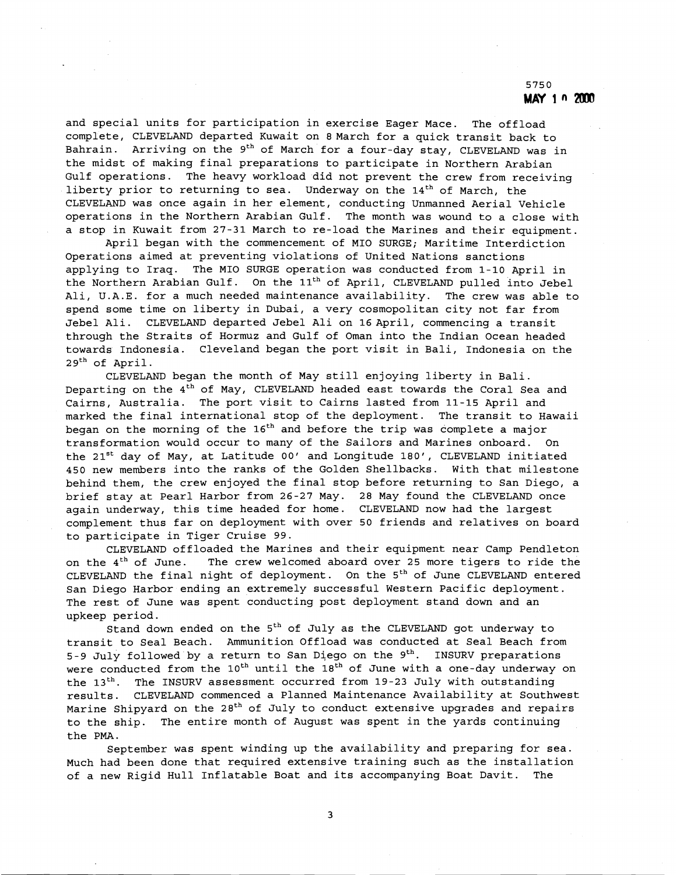and special units for participation in exercise Eager Mace. The offload complete, CLEVELAND departed Kuwait on 8 March for a quick transit back to Bahrain. Arriving on the 9<sup>th</sup> of March for a four-day stay, CLEVELAND was in the midst of making final preparations to participate in Northern Arabian Gulf operations. The heavy workload did not prevent the crew from receiving liberty prior to returning to sea. Underway on the  $14<sup>th</sup>$  of March, the CLEVELAND was once again in her element, conducting Unmanned Aerial Vehicle operations in the Northern Arabian Gulf. The month was wound to a close with a stop in Kuwait from 27-31 March to re-load the Marines and their equipment.

April began with the commencement of MI0 SURGE; Maritime Interdiction Operations aimed at preventing violations of United Nations sanctions applying to Iraq. The MI0 SURGE operation was conducted from 1-10 April in the Northern Arabian Gulf. On the 11<sup>th</sup> of April, CLEVELAND pulled into Jebel Ali, U.A.E. for a much needed maintenance availability. The crew was able to spend some time on liberty in Dubai, a very cosmopolitan city not far from Jebel Ali. CLEVELAND departed Jebel Ali on 16 April, commencing a transit through the Straits of Hormuz and Gulf of Oman into the Indian Ocean headed towards Indonesia. Cleveland began the port visit in Bali, Indonesia on the 2gth of April.

CLEVELAND began the month of May still enjoying liberty in Bali. Departing on the  $4^{\text{th}}$  of May, CLEVELAND headed east towards the Coral Sea and Cairns, Australia. The port visit to Cairns lasted from 11-15 April and marked the final international stop of the deployment. The transit to Hawaii began on the morning of the  $16<sup>th</sup>$  and before the trip was complete a major transformation would occur to many of the Sailors and Marines onboard. On the 21<sup>st</sup> day of May, at Latitude 00' and Longitude 180', CLEVELAND initiated 450 new members into the ranks of the Golden Shellbacks. With that milestone behind them, the crew enjoyed the final stop before returning to San Diego, a brief stay at Pearl Harbor from 26-27 May. 28 May found the CLEVELAND once again underway, this time headed for home. CLEVELAND now had the largest complement thus far on deployment with over 50 friends and relatives on board to participate in Tiger Cruise 99.

CLEVELAND offloaded the Marines and their equipment near Camp Pendleton on the  $4<sup>th</sup>$  of June. The crew welcomed aboard over 25 more tigers to ride the CLEVELAND the final night of deployment. On the 5<sup>th</sup> of June CLEVELAND entered San Diego Harbor ending an extremely successful Western Pacific deployment. The rest of June was spent conducting post deployment stand down and an upkeep period.

Stand down ended on the  $5<sup>th</sup>$  of July as the CLEVELAND got underway to transit to Seal Beach. Ammunition Offload was conducted at Seal Beach from 5-9 July followed by a return to San Diego on the  $9<sup>th</sup>$ . INSURV preparations were conducted from the  $10^{th}$  until the  $18^{th}$  of June with a one-day underway on the  $13<sup>th</sup>$ . The INSURV assessment occurred from 19-23 July with outstanding results. CLEVELAND commenced a Planned Maintenance Availability at Southwest Marine Shipyard on the 28<sup>th</sup> of July to conduct extensive upgrades and repairs to the ship. The entire month of August was spent in the yards continuing the PMA.

September was spent winding up the availability and preparing for sea. Much had been done that required extensive training such as the installation of a new Rigid Hull Inflatable Boat and its accompanying Boat Davit. The

3